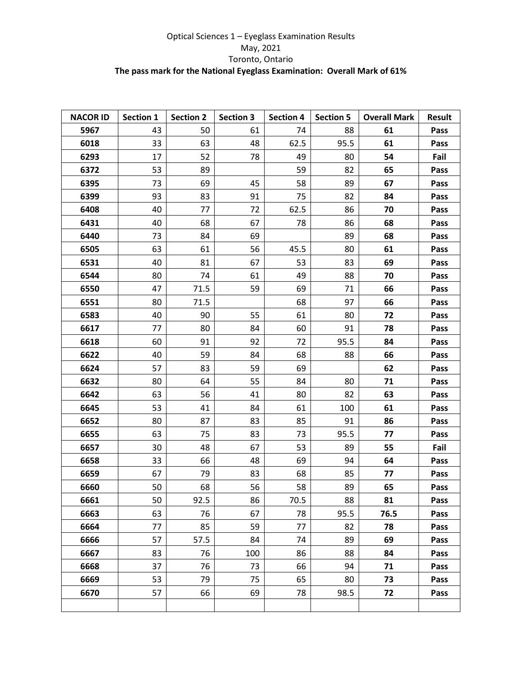## Optical Sciences 1 – Eyeglass Examination Results May, 2021 Toronto, Ontario **The pass mark for the National Eyeglass Examination: Overall Mark of 61%**

| <b>NACOR ID</b> | <b>Section 1</b> | <b>Section 2</b> | <b>Section 3</b> | <b>Section 4</b> | <b>Section 5</b> | <b>Overall Mark</b> | <b>Result</b> |
|-----------------|------------------|------------------|------------------|------------------|------------------|---------------------|---------------|
| 5967            | 43               | 50               | 61               | 74               | 88               | 61                  | Pass          |
| 6018            | 33               | 63               | 48               | 62.5             | 95.5             | 61                  | Pass          |
| 6293            | 17               | 52               | 78               | 49               | 80               | 54                  | Fail          |
| 6372            | 53               | 89               |                  | 59               | 82               | 65                  | Pass          |
| 6395            | 73               | 69               | 45               | 58               | 89               | 67                  | Pass          |
| 6399            | 93               | 83               | 91               | 75               | 82               | 84                  | Pass          |
| 6408            | 40               | 77               | 72               | 62.5             | 86               | 70                  | Pass          |
| 6431            | 40               | 68               | 67               | 78               | 86               | 68                  | Pass          |
| 6440            | 73               | 84               | 69               |                  | 89               | 68                  | Pass          |
| 6505            | 63               | 61               | 56               | 45.5             | 80               | 61                  | Pass          |
| 6531            | 40               | 81               | 67               | 53               | 83               | 69                  | Pass          |
| 6544            | 80               | 74               | 61               | 49               | 88               | 70                  | Pass          |
| 6550            | 47               | 71.5             | 59               | 69               | 71               | 66                  | Pass          |
| 6551            | 80               | 71.5             |                  | 68               | 97               | 66                  | Pass          |
| 6583            | 40               | 90               | 55               | 61               | 80               | 72                  | Pass          |
| 6617            | 77               | 80               | 84               | 60               | 91               | 78                  | Pass          |
| 6618            | 60               | 91               | 92               | 72               | 95.5             | 84                  | Pass          |
| 6622            | 40               | 59               | 84               | 68               | 88               | 66                  | Pass          |
| 6624            | 57               | 83               | 59               | 69               |                  | 62                  | Pass          |
| 6632            | 80               | 64               | 55               | 84               | 80               | 71                  | Pass          |
| 6642            | 63               | 56               | 41               | 80               | 82               | 63                  | Pass          |
| 6645            | 53               | 41               | 84               | 61               | 100              | 61                  | Pass          |
| 6652            | 80               | 87               | 83               | 85               | 91               | 86                  | Pass          |
| 6655            | 63               | 75               | 83               | 73               | 95.5             | 77                  | Pass          |
| 6657            | 30               | 48               | 67               | 53               | 89               | 55                  | Fail          |
| 6658            | 33               | 66               | 48               | 69               | 94               | 64                  | Pass          |
| 6659            | 67               | 79               | 83               | 68               | 85               | 77                  | Pass          |
| 6660            | 50               | 68               | 56               | 58               | 89               | 65                  | Pass          |
| 6661            | 50               | 92.5             | 86               | 70.5             | 88               | 81                  | Pass          |
| 6663            | 63               | 76               | 67               | 78               | 95.5             | 76.5                | Pass          |
| 6664            | 77               | 85               | 59               | 77               | 82               | 78                  | Pass          |
| 6666            | 57               | 57.5             | 84               | 74               | 89               | 69                  | Pass          |
| 6667            | 83               | 76               | 100              | 86               | 88               | 84                  | Pass          |
| 6668            | 37               | 76               | 73               | 66               | 94               | 71                  | Pass          |
| 6669            | 53               | 79               | 75               | 65               | 80               | 73                  | Pass          |
| 6670            | 57               | 66               | 69               | 78               | 98.5             | 72                  | Pass          |
|                 |                  |                  |                  |                  |                  |                     |               |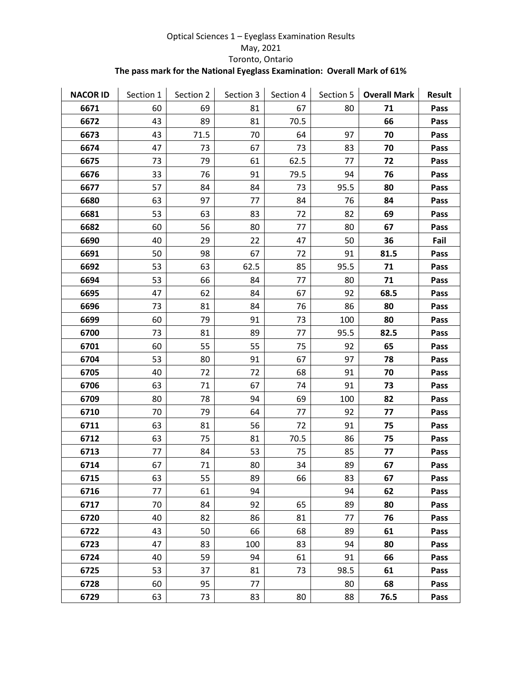## Optical Sciences 1 – Eyeglass Examination Results May, 2021 Toronto, Ontario **The pass mark for the National Eyeglass Examination: Overall Mark of 61%**

| <b>NACOR ID</b> | Section 1 | Section 2 | Section 3 | Section 4 | Section 5 | <b>Overall Mark</b> | <b>Result</b> |
|-----------------|-----------|-----------|-----------|-----------|-----------|---------------------|---------------|
| 6671            | 60        | 69        | 81        | 67        | 80        | 71                  | Pass          |
| 6672            | 43        | 89        | 81        | 70.5      |           | 66                  | Pass          |
| 6673            | 43        | 71.5      | 70        | 64        | 97        | 70                  | Pass          |
| 6674            | 47        | 73        | 67        | 73        | 83        | 70                  | Pass          |
| 6675            | 73        | 79        | 61        | 62.5      | 77        | 72                  | Pass          |
| 6676            | 33        | 76        | 91        | 79.5      | 94        | 76                  | Pass          |
| 6677            | 57        | 84        | 84        | 73        | 95.5      | 80                  | Pass          |
| 6680            | 63        | 97        | 77        | 84        | 76        | 84                  | Pass          |
| 6681            | 53        | 63        | 83        | 72        | 82        | 69                  | Pass          |
| 6682            | 60        | 56        | 80        | 77        | 80        | 67                  | Pass          |
| 6690            | 40        | 29        | 22        | 47        | 50        | 36                  | Fail          |
| 6691            | 50        | 98        | 67        | 72        | 91        | 81.5                | Pass          |
| 6692            | 53        | 63        | 62.5      | 85        | 95.5      | 71                  | Pass          |
| 6694            | 53        | 66        | 84        | 77        | 80        | 71                  | Pass          |
| 6695            | 47        | 62        | 84        | 67        | 92        | 68.5                | Pass          |
| 6696            | 73        | 81        | 84        | 76        | 86        | 80                  | Pass          |
| 6699            | 60        | 79        | 91        | 73        | 100       | 80                  | Pass          |
| 6700            | 73        | 81        | 89        | 77        | 95.5      | 82.5                | Pass          |
| 6701            | 60        | 55        | 55        | 75        | 92        | 65                  | Pass          |
| 6704            | 53        | 80        | 91        | 67        | 97        | 78                  | Pass          |
| 6705            | 40        | 72        | 72        | 68        | 91        | 70                  | Pass          |
| 6706            | 63        | 71        | 67        | 74        | 91        | 73                  | Pass          |
| 6709            | 80        | 78        | 94        | 69        | 100       | 82                  | Pass          |
| 6710            | 70        | 79        | 64        | 77        | 92        | 77                  | Pass          |
| 6711            | 63        | 81        | 56        | 72        | 91        | 75                  | Pass          |
| 6712            | 63        | 75        | 81        | 70.5      | 86        | 75                  | Pass          |
| 6713            | 77        | 84        | 53        | 75        | 85        | 77                  | Pass          |
| 6714            | 67        | 71        | 80        | 34        | 89        | 67                  | Pass          |
| 6715            | 63        | 55        | 89        | 66        | 83        | 67                  | Pass          |
| 6716            | 77        | 61        | 94        |           | 94        | 62                  | Pass          |
| 6717            | 70        | 84        | 92        | 65        | 89        | 80                  | Pass          |
| 6720            | 40        | 82        | 86        | 81        | 77        | 76                  | Pass          |
| 6722            | 43        | 50        | 66        | 68        | 89        | 61                  | Pass          |
| 6723            | 47        | 83        | 100       | 83        | 94        | 80                  | Pass          |
| 6724            | 40        | 59        | 94        | 61        | 91        | 66                  | Pass          |
| 6725            | 53        | 37        | 81        | 73        | 98.5      | 61                  | Pass          |
| 6728            | 60        | 95        | 77        |           | 80        | 68                  | Pass          |
| 6729            | 63        | 73        | 83        | 80        | 88        | 76.5                | Pass          |